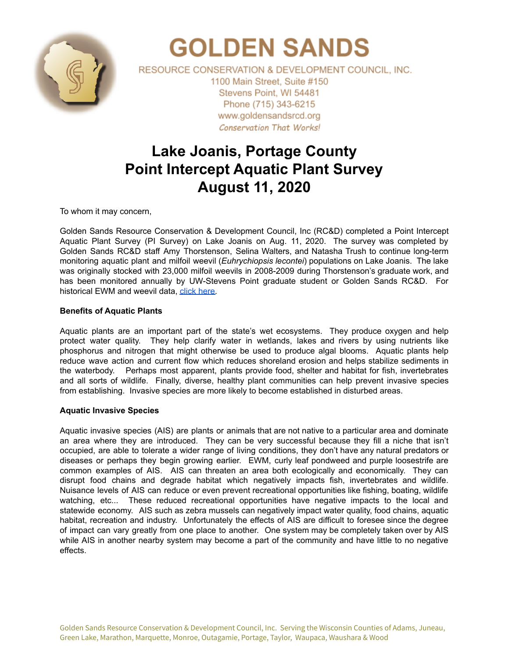

# **GOLDEN SANDS**

RESOURCE CONSERVATION & DEVELOPMENT COUNCIL, INC. 1100 Main Street, Suite #150 Stevens Point, WI 54481 Phone (715) 343-6215 www.goldensandsrcd.org **Conservation That Works!** 

# **Lake Joanis, Portage County Point Intercept Aquatic Plant Survey August 11, 2020**

To whom it may concern,

Golden Sands Resource Conservation & Development Council, Inc (RC&D) completed a Point Intercept Aquatic Plant Survey (PI Survey) on Lake Joanis on Aug. 11, 2020. The survey was completed by Golden Sands RC&D staff Amy Thorstenson, Selina Walters, and Natasha Trush to continue long-term monitoring aquatic plant and milfoil weevil (*Euhrychiopsis lecontei*) populations on Lake Joanis. The lake was originally stocked with 23,000 milfoil weevils in 2008-2009 during Thorstenson's graduate work, and has been monitored annually by UW-Stevens Point graduate student or Golden Sands RC&D. For historical EWM and weevil data, click [here.](https://docs.google.com/document/d/1oeeBIXrM86MzLrjsf8HnNWJ49sUUlL_G8TYuevUJQ3Y/edit?usp=sharing)

## **Benefits of Aquatic Plants**

Aquatic plants are an important part of the state's wet ecosystems. They produce oxygen and help protect water quality. They help clarify water in wetlands, lakes and rivers by using nutrients like phosphorus and nitrogen that might otherwise be used to produce algal blooms. Aquatic plants help reduce wave action and current flow which reduces shoreland erosion and helps stabilize sediments in the waterbody. Perhaps most apparent, plants provide food, shelter and habitat for fish, invertebrates and all sorts of wildlife. Finally, diverse, healthy plant communities can help prevent invasive species from establishing. Invasive species are more likely to become established in disturbed areas.

## **Aquatic Invasive Species**

Aquatic invasive species (AIS) are plants or animals that are not native to a particular area and dominate an area where they are introduced. They can be very successful because they fill a niche that isn't occupied, are able to tolerate a wider range of living conditions, they don't have any natural predators or diseases or perhaps they begin growing earlier. EWM, curly leaf pondweed and purple loosestrife are common examples of AIS. AIS can threaten an area both ecologically and economically. They can disrupt food chains and degrade habitat which negatively impacts fish, invertebrates and wildlife. Nuisance levels of AIS can reduce or even prevent recreational opportunities like fishing, boating, wildlife watching, etc... These reduced recreational opportunities have negative impacts to the local and statewide economy. AIS such as zebra mussels can negatively impact water quality, food chains, aquatic habitat, recreation and industry. Unfortunately the effects of AIS are difficult to foresee since the degree of impact can vary greatly from one place to another. One system may be completely taken over by AIS while AIS in another nearby system may become a part of the community and have little to no negative effects.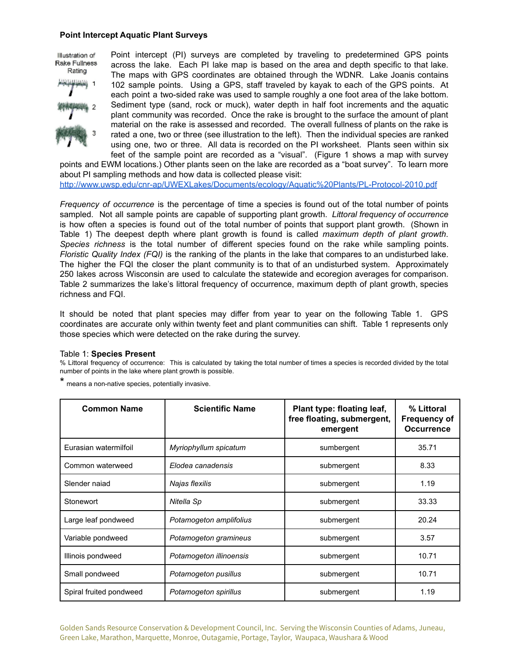#### **Point Intercept Aquatic Plant Surveys**

Illustration of Rake Fullness Rating



Point intercept (PI) surveys are completed by traveling to predetermined GPS points across the lake. Each PI lake map is based on the area and depth specific to that lake. The maps with GPS coordinates are obtained through the WDNR. Lake Joanis contains 102 sample points. Using a GPS, staff traveled by kayak to each of the GPS points. At each point a two-sided rake was used to sample roughly a one foot area of the lake bottom. Sediment type (sand, rock or muck), water depth in half foot increments and the aquatic plant community was recorded. Once the rake is brought to the surface the amount of plant material on the rake is assessed and recorded. The overall fullness of plants on the rake is rated a one, two or three (see illustration to the left). Then the individual species are ranked using one, two or three. All data is recorded on the PI worksheet. Plants seen within six feet of the sample point are recorded as a "visual". (Figure 1 shows a map with survey

points and EWM locations.) Other plants seen on the lake are recorded as a "boat survey". To learn more about PI sampling methods and how data is collected please visit: <http://www.uwsp.edu/cnr-ap/UWEXLakes/Documents/ecology/Aquatic%20Plants/PL-Protocol-2010.pdf>

*Frequency of occurrence* is the percentage of time a species is found out of the total number of points sampled. Not all sample points are capable of supporting plant growth. *Littoral frequency of occurrence* is how often a species is found out of the total number of points that support plant growth. (Shown in Table 1) The deepest depth where plant growth is found is called *maximum depth of plant growth*. *Species richness* is the total number of different species found on the rake while sampling points. *Floristic Quality Index (FQI)* is the ranking of the plants in the lake that compares to an undisturbed lake. The higher the FQI the closer the plant community is to that of an undisturbed system. Approximately 250 lakes across Wisconsin are used to calculate the statewide and ecoregion averages for comparison. Table 2 summarizes the lake's littoral frequency of occurrence, maximum depth of plant growth, species richness and FQI.

It should be noted that plant species may differ from year to year on the following Table 1. GPS coordinates are accurate only within twenty feet and plant communities can shift. Table 1 represents only those species which were detected on the rake during the survey.

#### Table 1: **Species Present**

% Littoral frequency of occurrence: This is calculated by taking the total number of times a species is recorded divided by the total number of points in the lake where plant growth is possible.

\* means <sup>a</sup> non-native species, potentially invasive.

| <b>Common Name</b>      | <b>Scientific Name</b>  | Plant type: floating leaf,<br>free floating, submergent,<br>emergent | % Littoral<br><b>Frequency of</b><br><b>Occurrence</b> |
|-------------------------|-------------------------|----------------------------------------------------------------------|--------------------------------------------------------|
| Eurasian watermilfoil   | Myriophyllum spicatum   | sumbergent                                                           | 35.71                                                  |
| Common waterweed        | Elodea canadensis       | submergent                                                           | 8.33                                                   |
| Slender najad           | Najas flexilis          | submergent                                                           | 1.19                                                   |
| Stonewort               | Nitella Sp              | submergent                                                           | 33.33                                                  |
| Large leaf pondweed     | Potamogeton amplifolius | submergent                                                           | 20.24                                                  |
| Variable pondweed       | Potamogeton gramineus   | submergent                                                           | 3.57                                                   |
| Illinois pondweed       | Potamogeton illinoensis | submergent                                                           | 10.71                                                  |
| Small pondweed          | Potamogeton pusillus    | submergent                                                           | 10.71                                                  |
| Spiral fruited pondweed | Potamogeton spirillus   | submergent                                                           | 1.19                                                   |